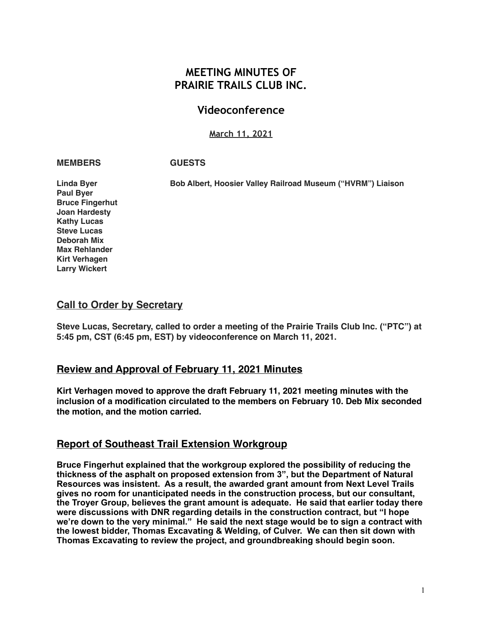# **MEETING MINUTES OF PRAIRIE TRAILS CLUB INC.**

# **Videoconference**

## **March 11, 2021**

### **MEMBERS GUESTS**

**Bruce Fingerhut** 

**Linda Byer Bob Albert, Hoosier Valley Railroad Museum ("HVRM") Liaison**

**Paul Byer Joan Hardesty Kathy Lucas Steve Lucas Deborah Mix Max Rehlander Kirt Verhagen Larry Wickert**

## **Call to Order by Secretary**

**Steve Lucas, Secretary, called to order a meeting of the Prairie Trails Club Inc. ("PTC") at 5:45 pm, CST (6:45 pm, EST) by videoconference on March 11, 2021.**

# **Review and Approval of February 11, 2021 Minutes**

**Kirt Verhagen moved to approve the draft February 11, 2021 meeting minutes with the inclusion of a modification circulated to the members on February 10. Deb Mix seconded the motion, and the motion carried.**

## **Report of Southeast Trail Extension Workgroup**

**Bruce Fingerhut explained that the workgroup explored the possibility of reducing the thickness of the asphalt on proposed extension from 3", but the Department of Natural Resources was insistent. As a result, the awarded grant amount from Next Level Trails gives no room for unanticipated needs in the construction process, but our consultant, the Troyer Group, believes the grant amount is adequate. He said that earlier today there were discussions with DNR regarding details in the construction contract, but "I hope we're down to the very minimal." He said the next stage would be to sign a contract with the lowest bidder, Thomas Excavating & Welding, of Culver. We can then sit down with Thomas Excavating to review the project, and groundbreaking should begin soon.**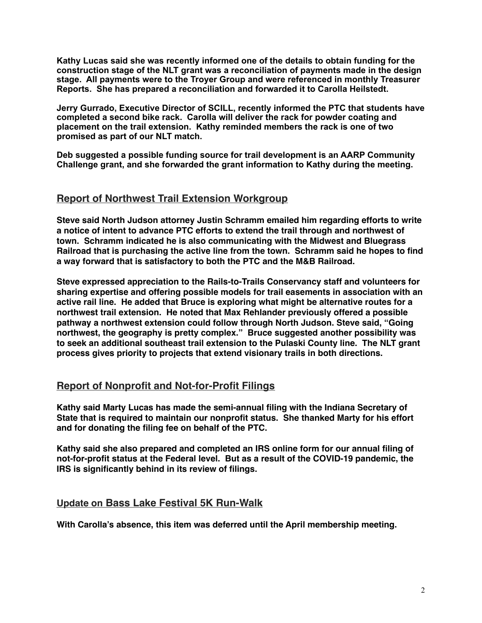**Kathy Lucas said she was recently informed one of the details to obtain funding for the construction stage of the NLT grant was a reconciliation of payments made in the design stage. All payments were to the Troyer Group and were referenced in monthly Treasurer Reports. She has prepared a reconciliation and forwarded it to Carolla Heilstedt.** 

**Jerry Gurrado, Executive Director of SCILL, recently informed the PTC that students have completed a second bike rack. Carolla will deliver the rack for powder coating and placement on the trail extension. Kathy reminded members the rack is one of two promised as part of our NLT match.** 

**Deb suggested a possible funding source for trail development is an AARP Community Challenge grant, and she forwarded the grant information to Kathy during the meeting.** 

## **Report of Northwest Trail Extension Workgroup**

**Steve said North Judson attorney Justin Schramm emailed him regarding efforts to write a notice of intent to advance PTC efforts to extend the trail through and northwest of town. Schramm indicated he is also communicating with the Midwest and Bluegrass Railroad that is purchasing the active line from the town. Schramm said he hopes to find a way forward that is satisfactory to both the PTC and the M&B Railroad.** 

**Steve expressed appreciation to the Rails-to-Trails Conservancy staff and volunteers for sharing expertise and offering possible models for trail easements in association with an active rail line. He added that Bruce is exploring what might be alternative routes for a northwest trail extension. He noted that Max Rehlander previously offered a possible pathway a northwest extension could follow through North Judson. Steve said, "Going northwest, the geography is pretty complex." Bruce suggested another possibility was to seek an additional southeast trail extension to the Pulaski County line. The NLT grant process gives priority to projects that extend visionary trails in both directions.**

# **Report of Nonprofit and Not-for-Profit Filings**

**Kathy said Marty Lucas has made the semi-annual filing with the Indiana Secretary of State that is required to maintain our nonprofit status. She thanked Marty for his effort and for donating the filing fee on behalf of the PTC.** 

**Kathy said she also prepared and completed an IRS online form for our annual filing of not-for-profit status at the Federal level. But as a result of the COVID-19 pandemic, the IRS is significantly behind in its review of filings.**

## **Update on Bass Lake Festival 5K Run-Walk**

**With Carolla's absence, this item was deferred until the April membership meeting.**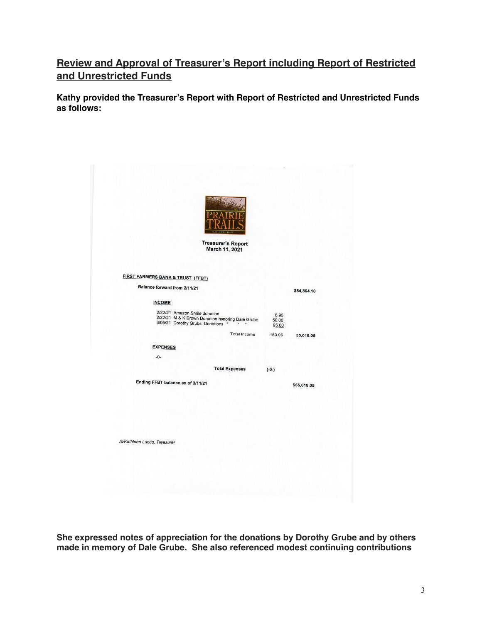# **Review and Approval of Treasurer's Report including Report of Restricted and Unrestricted Funds**

**Kathy provided the Treasurer's Report with Report of Restricted and Unrestricted Funds as follows:**

| <b>Treasurer's Report</b>                                                                                                                                           |                        |             |
|---------------------------------------------------------------------------------------------------------------------------------------------------------------------|------------------------|-------------|
| March 11, 2021                                                                                                                                                      |                        |             |
|                                                                                                                                                                     |                        |             |
| FIRST FARMERS BANK & TRUST (FFBT)                                                                                                                                   |                        |             |
| Balance forward from 2/11/21                                                                                                                                        |                        | \$54,864.10 |
| <b>INCOME</b>                                                                                                                                                       |                        |             |
| 2/22/21 Amazon Smile donation<br>2/22/21 M & K Brown Donation honoring Dale Grube<br>3/05/21 Dorothy Grubs: Donations *<br>$\begin{array}{ccc} u & & u \end{array}$ | 8.95<br>50.00<br>95.00 |             |
| Total Income                                                                                                                                                        | 153.95                 | 55,018.05   |
| <b>EXPENSES</b>                                                                                                                                                     |                        |             |
| $-0-$                                                                                                                                                               |                        |             |
| <b>Total Expenses</b>                                                                                                                                               | $(-0-)$                |             |
| Ending FFBT balance as of 3/11/21                                                                                                                                   |                        | \$55,018.05 |
|                                                                                                                                                                     |                        |             |
|                                                                                                                                                                     |                        |             |
|                                                                                                                                                                     |                        |             |
|                                                                                                                                                                     |                        |             |
| /s/Kathleen Lucas, Treasurer                                                                                                                                        |                        |             |
|                                                                                                                                                                     |                        |             |

**She expressed notes of appreciation for the donations by Dorothy Grube and by others made in memory of Dale Grube. She also referenced modest continuing contributions**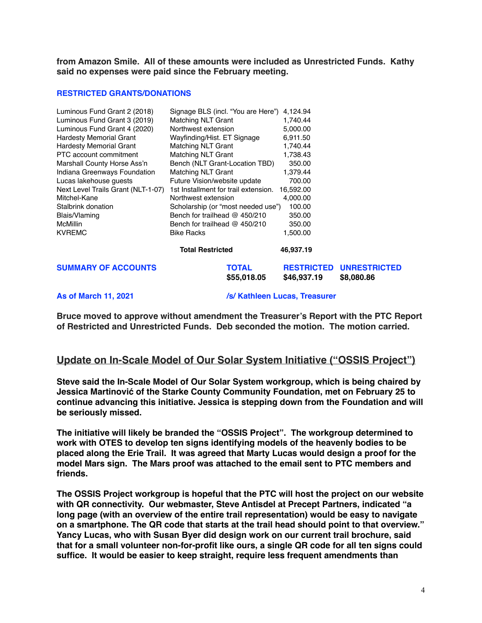**from Amazon Smile. All of these amounts were included as Unrestricted Funds. Kathy said no expenses were paid since the February meeting.** 

### **RESTRICTED GRANTS/DONATIONS**

| Luminous Fund Grant 2 (2018)       | Signage BLS (incl. "You are Here")   | 4.124.94                         |                                   |
|------------------------------------|--------------------------------------|----------------------------------|-----------------------------------|
| Luminous Fund Grant 3 (2019)       | <b>Matching NLT Grant</b>            | 1,740.44                         |                                   |
| Luminous Fund Grant 4 (2020)       | Northwest extension                  | 5,000.00                         |                                   |
| <b>Hardesty Memorial Grant</b>     | Wayfinding/Hist. ET Signage          | 6,911.50                         |                                   |
| <b>Hardesty Memorial Grant</b>     | <b>Matching NLT Grant</b>            | 1,740.44                         |                                   |
| PTC account commitment             | <b>Matching NLT Grant</b>            | 1,738.43                         |                                   |
| Marshall County Horse Ass'n        | Bench (NLT Grant-Location TBD)       | 350.00                           |                                   |
| Indiana Greenways Foundation       | <b>Matching NLT Grant</b>            | 1,379.44                         |                                   |
| Lucas lakehouse quests             | Future Vision/website update         | 700.00                           |                                   |
| Next Level Trails Grant (NLT-1-07) | 1st Installment for trail extension. | 16,592.00                        |                                   |
| Mitchel-Kane                       | Northwest extension                  | 4,000.00                         |                                   |
| Stalbrink donation                 | Scholarship (or "most needed use")   | 100.00                           |                                   |
| Blais/Vlaming                      | Bench for trailhead $@$ 450/210      | 350.00                           |                                   |
| <b>McMillin</b>                    | Bench for trailhead $@$ 450/210      | 350.00                           |                                   |
| <b>KVREMC</b>                      | <b>Bike Racks</b>                    | 1,500.00                         |                                   |
|                                    | <b>Total Restricted</b>              | 46,937.19                        |                                   |
| <b>SUMMARY OF ACCOUNTS</b>         | TOTAL<br>\$55,018.05                 | <b>RESTRICTED</b><br>\$46,937.19 | <b>UNRESTRICTED</b><br>\$8,080.86 |

**As of March 11, 2021 /s/ Kathleen Lucas, Treasurer** 

**Bruce moved to approve without amendment the Treasurer's Report with the PTC Report of Restricted and Unrestricted Funds. Deb seconded the motion. The motion carried.**

## **Update on In-Scale Model of Our Solar System Initiative ("OSSIS Project")**

**Steve said the In-Scale Model of Our Solar System workgroup, which is being chaired by Jessica Martinović of the Starke County Community Foundation, met on February 25 to continue advancing this initiative. Jessica is stepping down from the Foundation and will be seriously missed.**

**The initiative will likely be branded the "OSSIS Project". The workgroup determined to work with OTES to develop ten signs identifying models of the heavenly bodies to be placed along the Erie Trail. It was agreed that Marty Lucas would design a proof for the model Mars sign. The Mars proof was attached to the email sent to PTC members and friends.** 

**The OSSIS Project workgroup is hopeful that the PTC will host the project on our website with QR connectivity. Our webmaster, Steve Antisdel at Precept Partners, indicated "a long page (with an overview of the entire trail representation) would be easy to navigate on a smartphone. The QR code that starts at the trail head should point to that overview." Yancy Lucas, who with Susan Byer did design work on our current trail brochure, said that for a small volunteer non-for-profit like ours, a single QR code for all ten signs could suffice. It would be easier to keep straight, require less frequent amendments than**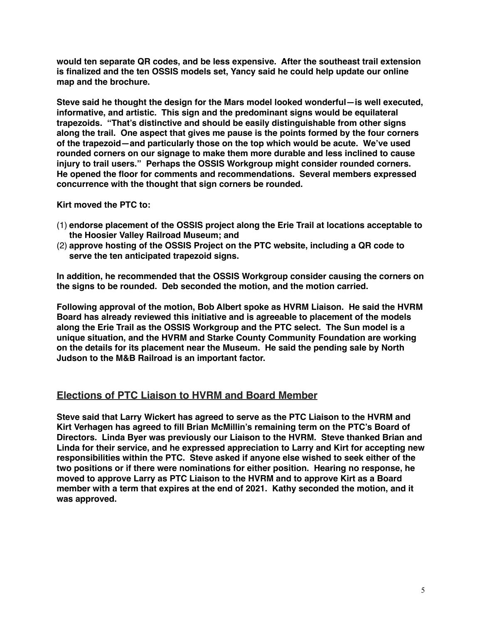**would ten separate QR codes, and be less expensive. After the southeast trail extension is finalized and the ten OSSIS models set, Yancy said he could help update our online map and the brochure.**

**Steve said he thought the design for the Mars model looked wonderful—is well executed, informative, and artistic. This sign and the predominant signs would be equilateral trapezoids. "That's distinctive and should be easily distinguishable from other signs along the trail. One aspect that gives me pause is the points formed by the four corners of the trapezoid—and particularly those on the top which would be acute. We've used rounded corners on our signage to make them more durable and less inclined to cause injury to trail users." Perhaps the OSSIS Workgroup might consider rounded corners. He opened the floor for comments and recommendations. Several members expressed concurrence with the thought that sign corners be rounded.** 

**Kirt moved the PTC to:**

- (1) **endorse placement of the OSSIS project along the Erie Trail at locations acceptable to the Hoosier Valley Railroad Museum; and**
- (2) **approve hosting of the OSSIS Project on the PTC website, including a QR code to serve the ten anticipated trapezoid signs.**

**In addition, he recommended that the OSSIS Workgroup consider causing the corners on the signs to be rounded. Deb seconded the motion, and the motion carried.**

**Following approval of the motion, Bob Albert spoke as HVRM Liaison. He said the HVRM Board has already reviewed this initiative and is agreeable to placement of the models along the Erie Trail as the OSSIS Workgroup and the PTC select. The Sun model is a unique situation, and the HVRM and Starke County Community Foundation are working on the details for its placement near the Museum. He said the pending sale by North Judson to the M&B Railroad is an important factor.**

## **Elections of PTC Liaison to HVRM and Board Member**

**Steve said that Larry Wickert has agreed to serve as the PTC Liaison to the HVRM and Kirt Verhagen has agreed to fill Brian McMillin's remaining term on the PTC's Board of Directors. Linda Byer was previously our Liaison to the HVRM. Steve thanked Brian and Linda for their service, and he expressed appreciation to Larry and Kirt for accepting new responsibilities within the PTC. Steve asked if anyone else wished to seek either of the two positions or if there were nominations for either position. Hearing no response, he moved to approve Larry as PTC Liaison to the HVRM and to approve Kirt as a Board member with a term that expires at the end of 2021. Kathy seconded the motion, and it was approved.**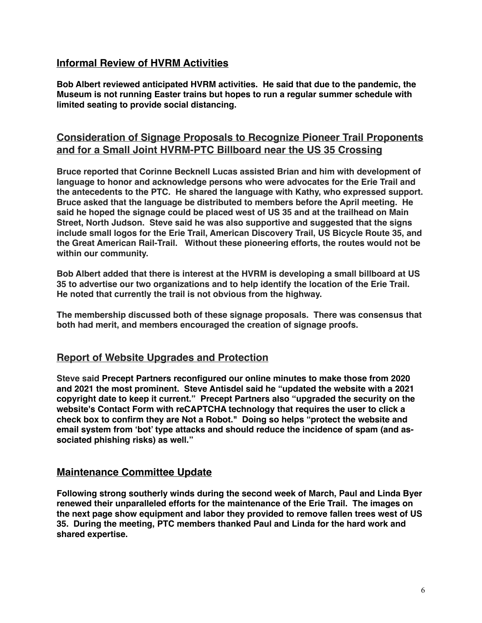# **Informal Review of HVRM Activities**

**Bob Albert reviewed anticipated HVRM activities. He said that due to the pandemic, the Museum is not running Easter trains but hopes to run a regular summer schedule with limited seating to provide social distancing.**

# **Consideration of Signage Proposals to Recognize Pioneer Trail Proponents and for a Small Joint HVRM-PTC Billboard near the US 35 Crossing**

**Bruce reported that Corinne Becknell Lucas assisted Brian and him with development of language to honor and acknowledge persons who were advocates for the Erie Trail and the antecedents to the PTC. He shared the language with Kathy, who expressed support. Bruce asked that the language be distributed to members before the April meeting. He said he hoped the signage could be placed west of US 35 and at the trailhead on Main Street, North Judson. Steve said he was also supportive and suggested that the signs include small logos for the Erie Trail, American Discovery Trail, US Bicycle Route 35, and the Great American Rail-Trail. Without these pioneering efforts, the routes would not be within our community.**

**Bob Albert added that there is interest at the HVRM is developing a small billboard at US 35 to advertise our two organizations and to help identify the location of the Erie Trail. He noted that currently the trail is not obvious from the highway.**

**The membership discussed both of these signage proposals. There was consensus that both had merit, and members encouraged the creation of signage proofs.**

## **Report of Website Upgrades and Protection**

**Steve said Precept Partners reconfigured our online minutes to make those from 2020 and 2021 the most prominent. Steve Antisdel said he "updated the website with a 2021 copyright date to keep it current." Precept Partners also "upgraded the security on the website's Contact Form with reCAPTCHA technology that requires the user to click a check box to confirm they are Not a Robot." Doing so helps "protect the website and email system from 'bot' type attacks and should reduce the incidence of spam (and associated phishing risks) as well."**

## **Maintenance Committee Update**

**Following strong southerly winds during the second week of March, Paul and Linda Byer renewed their unparalleled efforts for the maintenance of the Erie Trail. The images on the next page show equipment and labor they provided to remove fallen trees west of US 35. During the meeting, PTC members thanked Paul and Linda for the hard work and shared expertise.**